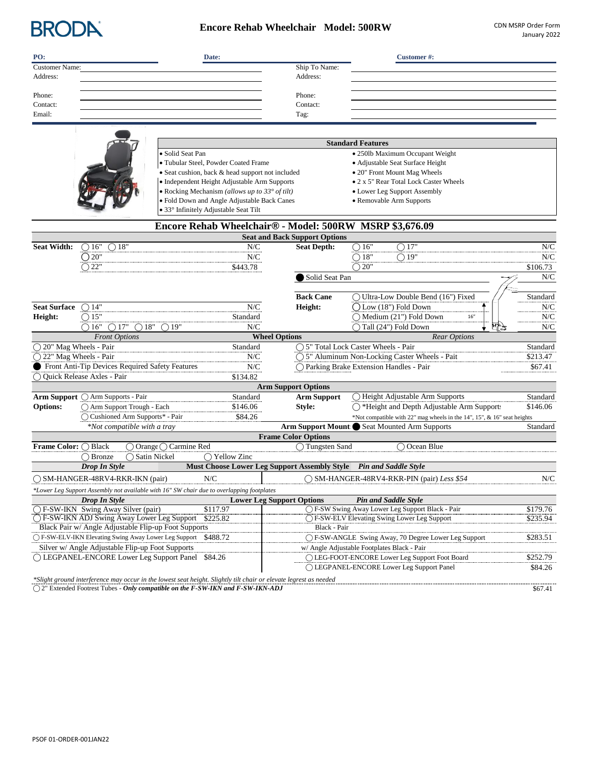

## **Encore Rehab Wheelchair Model: 500RW** CDN MSRP Order Form

| PO:                                                               |                                 |                                                      | Date:                                                                                                             |                                                                   | Customer#:                                                              |          |  |  |
|-------------------------------------------------------------------|---------------------------------|------------------------------------------------------|-------------------------------------------------------------------------------------------------------------------|-------------------------------------------------------------------|-------------------------------------------------------------------------|----------|--|--|
| <b>Customer Name:</b>                                             |                                 |                                                      |                                                                                                                   | Ship To Name:                                                     |                                                                         |          |  |  |
| Address:                                                          |                                 |                                                      |                                                                                                                   | Address:                                                          |                                                                         |          |  |  |
| Phone:                                                            |                                 |                                                      |                                                                                                                   | Phone:                                                            |                                                                         |          |  |  |
| Contact:                                                          |                                 |                                                      |                                                                                                                   | Contact:                                                          |                                                                         |          |  |  |
| Email:                                                            |                                 |                                                      |                                                                                                                   | Tag:                                                              |                                                                         |          |  |  |
|                                                                   |                                 |                                                      |                                                                                                                   |                                                                   |                                                                         |          |  |  |
|                                                                   |                                 |                                                      |                                                                                                                   |                                                                   |                                                                         |          |  |  |
|                                                                   |                                 |                                                      |                                                                                                                   |                                                                   | <b>Standard Features</b>                                                |          |  |  |
|                                                                   |                                 | • Solid Seat Pan                                     |                                                                                                                   |                                                                   | · 250lb Maximum Occupant Weight                                         |          |  |  |
|                                                                   |                                 |                                                      | · Tubular Steel, Powder Coated Frame                                                                              |                                                                   | · Adjustable Seat Surface Height<br>• 20" Front Mount Mag Wheels        |          |  |  |
|                                                                   |                                 |                                                      | • Seat cushion, back & head support not included                                                                  |                                                                   |                                                                         |          |  |  |
|                                                                   |                                 |                                                      | • Independent Height Adjustable Arm Supports                                                                      |                                                                   | • 2 x 5" Rear Total Lock Caster Wheels<br>• Lower Leg Support Assembly  |          |  |  |
|                                                                   |                                 |                                                      | • Rocking Mechanism (allows up to $33^\circ$ of tilt)<br>· Fold Down and Angle Adjustable Back Canes              |                                                                   |                                                                         |          |  |  |
|                                                                   |                                 |                                                      | · 33° Infinitely Adjustable Seat Tilt                                                                             |                                                                   | • Removable Arm Supports                                                |          |  |  |
|                                                                   |                                 |                                                      |                                                                                                                   |                                                                   |                                                                         |          |  |  |
|                                                                   |                                 |                                                      |                                                                                                                   |                                                                   | Encore Rehab Wheelchair <sup>®</sup> - Model: 500RW MSRP \$3,676.09     |          |  |  |
|                                                                   |                                 |                                                      |                                                                                                                   | <b>Seat and Back Support Options</b>                              |                                                                         |          |  |  |
| <b>Seat Width:</b>                                                | $\bigcap$ 16"<br>$\bigcirc$ 18" |                                                      | N/C                                                                                                               | <b>Seat Depth:</b>                                                | $\bigcirc$ 16"<br>$\bigcirc$ 17"                                        | N/C      |  |  |
|                                                                   | $\overline{O}20"$               |                                                      | N/C                                                                                                               |                                                                   | $\bigcap$ 18"<br>$\bigcirc$ 19"                                         | N/C      |  |  |
|                                                                   | $\bigcirc$ 22"                  |                                                      | \$443.78                                                                                                          |                                                                   | $\bigcirc$ 20"                                                          | \$106.73 |  |  |
|                                                                   |                                 |                                                      |                                                                                                                   | Solid Seat Pan                                                    |                                                                         | N/C      |  |  |
|                                                                   |                                 |                                                      |                                                                                                                   | <b>Back Cane</b>                                                  | ◯ Ultra-Low Double Bend (16") Fixed                                     | Standard |  |  |
| <b>Seat Surface</b>                                               | $\bigcirc$ 14"                  |                                                      | N/C                                                                                                               | Height:                                                           | $\bigcap$ Low (18") Fold Down                                           | N/C      |  |  |
| Height:                                                           | $\bigcirc$ 15"                  |                                                      | Standard                                                                                                          |                                                                   | $\bigcirc$ Medium (21") Fold Down<br>16''                               | N/C      |  |  |
|                                                                   | $\bigcirc$ 16"<br>$\bigcap 17"$ | $\bigcirc$ 18"<br>◯ 19"                              | N/C                                                                                                               |                                                                   | Tall (24") Fold Down                                                    | N/C      |  |  |
|                                                                   | <b>Front Options</b>            |                                                      |                                                                                                                   | <b>Wheel Options</b>                                              | <b>Rear Options</b>                                                     |          |  |  |
| ◯ 20" Mag Wheels - Pair                                           |                                 |                                                      | Standard                                                                                                          |                                                                   | ◯ 5" Total Lock Caster Wheels - Pair                                    | Standard |  |  |
| $\bigcirc$ 22" Mag Wheels - Pair                                  |                                 |                                                      | N/C                                                                                                               |                                                                   | ◯ 5" Aluminum Non-Locking Caster Wheels - Pait                          | \$213.47 |  |  |
|                                                                   |                                 | Front Anti-Tip Devices Required Safety Features      | N/C                                                                                                               |                                                                   | ◯ Parking Brake Extension Handles - Pair                                | \$67.41  |  |  |
| ◯ Quick Release Axles - Pair                                      |                                 |                                                      | \$134.82                                                                                                          |                                                                   |                                                                         |          |  |  |
|                                                                   |                                 |                                                      |                                                                                                                   | <b>Arm Support Options</b>                                        |                                                                         |          |  |  |
| Arm Support ( ) Arm Supports - Pair                               |                                 |                                                      | Standard<br>\$146.06                                                                                              | <b>Arm Support</b>                                                | Height Adjustable Arm Supports                                          | Standard |  |  |
| <b>Options:</b>                                                   | ◯ Arm Support Trough - Each     |                                                      |                                                                                                                   | Style:                                                            | $\bigcap$ *Height and Depth Adjustable Arm Supports                     | \$146.06 |  |  |
|                                                                   |                                 | ◯ Cushioned Arm Supports* - Pair                     | \$84.26                                                                                                           |                                                                   | *Not compatible with 22" mag wheels in the 14", 15", & 16" seat heights |          |  |  |
|                                                                   |                                 | *Not compatible with a tray                          |                                                                                                                   |                                                                   | Arm Support Mount: Seat Mounted Arm Supports                            | Standard |  |  |
| Frame Color: $\bigcap$                                            | <b>Black</b>                    | Orange O Carmine Red                                 |                                                                                                                   | <b>Frame Color Options</b><br>◯ Tungsten Sand                     | $\bigcap$ Ocean Blue                                                    |          |  |  |
|                                                                   | $\bigcap$ Bronze                | ◯ Satin Nickel                                       | $\bigcap$ Yellow Zinc                                                                                             |                                                                   |                                                                         |          |  |  |
|                                                                   | Drop In Style                   |                                                      |                                                                                                                   | Must Choose Lower Leg Support Assembly Style Pin and Saddle Style |                                                                         |          |  |  |
|                                                                   |                                 | ◯ SM-HANGER-48RV4-RKR-IKN (pair)                     | N/C                                                                                                               |                                                                   | ◯ SM-HANGER-48RV4-RKR-PIN (pair) Less \$54                              | N/C      |  |  |
|                                                                   |                                 |                                                      |                                                                                                                   |                                                                   |                                                                         |          |  |  |
|                                                                   | Drop In Style                   |                                                      | *Lower Leg Support Assembly not available with 16" SW chair due to overlapping footplates                         | <b>Lower Leg Support Options</b>                                  | <b>Pin and Saddle Style</b>                                             |          |  |  |
| $\bigcap$ F-SW-IKN Swing Away Silver (pair)                       |                                 |                                                      | \$117.97                                                                                                          |                                                                   | ○ F-SW Swing Away Lower Leg Support Black - Pair                        | \$179.76 |  |  |
| <b>CE-SW-IKN ADJ Swing Away Lower Leg Support</b>                 |                                 |                                                      | \$225.82                                                                                                          | ◯ F-SW-ELV Elevating Swing Lower Leg Support                      | \$235.94                                                                |          |  |  |
|                                                                   |                                 | Black Pair w/ Angle Adjustable Flip-up Foot Supports |                                                                                                                   | Black - Pair                                                      |                                                                         |          |  |  |
| ◯ F-SW-ELV-IKN Elevating Swing Away Lower Leg Support<br>\$488.72 |                                 |                                                      |                                                                                                                   |                                                                   | \$283.51<br>◯ F-SW-ANGLE Swing Away, 70 Degree Lower Leg Support        |          |  |  |
| Silver w/ Angle Adjustable Flip-up Foot Supports                  |                                 |                                                      |                                                                                                                   |                                                                   | w/ Angle Adjustable Footplates Black - Pair                             |          |  |  |
| ◯ LEGPANEL-ENCORE Lower Leg Support Panel \$84.26                 |                                 |                                                      |                                                                                                                   |                                                                   | ◯ LEG-FOOT-ENCORE Lower Leg Support Foot Board<br>\$252.79              |          |  |  |
|                                                                   |                                 |                                                      |                                                                                                                   |                                                                   | ◯ LEGPANEL-ENCORE Lower Leg Support Panel                               | \$84.26  |  |  |
|                                                                   |                                 |                                                      | *Slight ground interference may occur in the lowest seat height. Slightly tilt chair or elevate legrest as needed |                                                                   |                                                                         |          |  |  |

◯ 2" Extended Footrest Tubes - *Only compatible on the F-SW-IKN and F-SW-IKN-ADJ* \$67.41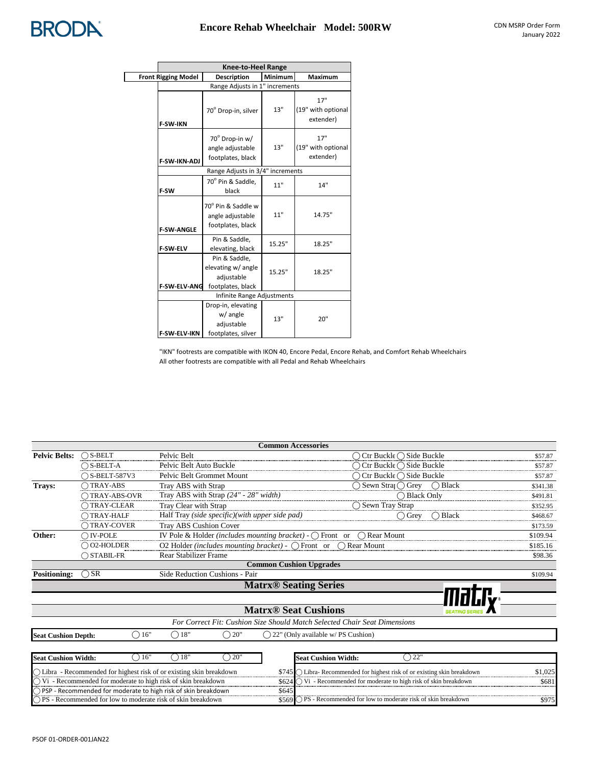

|                            | <b>Knee-to-Heel Range</b>                                               |         |                                        |  |  |
|----------------------------|-------------------------------------------------------------------------|---------|----------------------------------------|--|--|
| <b>Front Rigging Model</b> | <b>Description</b>                                                      | Minimum | Maximum                                |  |  |
|                            | Range Adjusts in 1" increments                                          |         |                                        |  |  |
| <b>F-SW-IKN</b>            | 70° Drop-in, silver                                                     | 13"     | 17"<br>(19" with optional<br>extender) |  |  |
| F-SW-IKN-ADJ               | 70° Drop-in w/<br>angle adjustable<br>footplates, black                 | 13"     | 17"<br>(19" with optional<br>extender) |  |  |
|                            | Range Adjusts in 3/4" increments                                        |         |                                        |  |  |
| F-SW                       | 70° Pin & Saddle,<br>11"<br>black                                       |         | 14"                                    |  |  |
| <b>F-SW-ANGLE</b>          | 70 <sup>°</sup> Pin & Saddle w<br>angle adjustable<br>footplates, black | 11"     | 14.75"                                 |  |  |
| <b>F-SW-ELV</b>            | Pin & Saddle,<br>elevating, black                                       | 15.25"  | 18.25"                                 |  |  |
| <b>F-SW-ELV-ANG</b>        | Pin & Saddle,<br>elevating w/ angle<br>adjustable<br>footplates, black  | 15.25"  | 18.25"                                 |  |  |
|                            | Infinite Range Adjustments                                              |         |                                        |  |  |
| F-SW-ELV-IKN               | Drop-in, elevating<br>w/ angle<br>adjustable<br>footplates, silver      | 13"     | 20"                                    |  |  |

"IKN" footrests are compatible with IKON 40, Encore Pedal, Encore Rehab, and Comfort Rehab Wheelchairs All other footrests are compatible with all Pedal and Rehab Wheelchairs

|                            |                                                                         |                                                                      | <b>Common Accessories</b>                                                                |          |
|----------------------------|-------------------------------------------------------------------------|----------------------------------------------------------------------|------------------------------------------------------------------------------------------|----------|
| <b>Pelvic Belts:</b>       | $\bigcap$ S-BELT                                                        | Pelvic Belt                                                          | ○ Ctr Buckle ◯ Side Buckle                                                               | \$57.87  |
|                            | $\bigcap$ S-BELT-A                                                      | Pelvic Belt Auto Buckle                                              | ◯ Ctr Buckle ◯ Side Buckle                                                               | \$57.87  |
|                            | $\bigcirc$ S-BELT-587V3                                                 | Pelvic Belt Grommet Mount                                            | ◯ Ctr Buckle ◯ Side Buckle                                                               | \$57.87  |
| Trays:                     | $\bigcap$ TRAY-ABS                                                      | Tray ABS with Strap                                                  | $\bigcap$ Sewn Straj $\bigcap$ Grey $\bigcap$ Black                                      | \$341.38 |
|                            | ◯ TRAY-ABS-OVR                                                          | Tray ABS with Strap (24" - 28" width)                                | ◯ Black Only                                                                             | \$491.81 |
|                            | ◯ TRAY-CLEAR                                                            | Trav Clear with Strap                                                | $\bigcap$ Sewn Tray Strap                                                                | \$352.95 |
|                            | ◯ TRAY-HALF                                                             | Half Tray (side specific)(with upper side pad)                       | $\bigcap$ Black<br>$\bigcirc$ Grey                                                       | \$468.67 |
|                            | ◯ TRAY-COVER                                                            | Tray ABS Cushion Cover                                               |                                                                                          | \$173.59 |
| Other:                     | $\bigcap$ IV-POLE                                                       |                                                                      | IV Pole & Holder (includes mounting bracket) - $\bigcirc$ Front or $\bigcirc$ Rear Mount | \$109.94 |
|                            | $\bigcirc$ 02-HOLDER                                                    |                                                                      | O2 Holder (includes mounting bracket) - $\bigcap$ Front or $\bigcap$ Rear Mount          | \$185.16 |
|                            | $\bigcap$ STABIL-FR                                                     | Rear Stabilizer Frame                                                |                                                                                          | \$98.36  |
|                            |                                                                         |                                                                      | <b>Common Cushion Upgrades</b>                                                           |          |
| <b>Positioning:</b>        | $\bigcirc$ SR                                                           | Side Reduction Cushions - Pair                                       |                                                                                          | \$109.94 |
|                            |                                                                         |                                                                      | <b>Matrx<sup>®</sup> Seating Series</b>                                                  |          |
|                            |                                                                         |                                                                      |                                                                                          |          |
|                            |                                                                         |                                                                      | <b>Matrx® Seat Cushions</b>                                                              |          |
|                            |                                                                         |                                                                      | For Correct Fit: Cushion Size Should Match Selected Chair Seat Dimensions                |          |
| <b>Seat Cushion Depth:</b> | ()16"                                                                   | $\bigcirc$ 18"<br>$\bigcirc$ 20"                                     | $\bigcap$ 22" (Only available w/PS Cushion)                                              |          |
|                            |                                                                         |                                                                      |                                                                                          |          |
| <b>Seat Cushion Width:</b> | $\bigcirc$ 16"                                                          | 18"<br>$\bigcirc$ 20"<br>$\left(\begin{array}{c}1\end{array}\right)$ | $\bigcirc$ 22"<br><b>Seat Cushion Width:</b>                                             |          |
|                            |                                                                         | ◯ Libra - Recommended for highest risk of or existing skin breakdown | \$745 C Libra-Recommended for highest risk of or existing skin breakdown                 | \$1,025  |
|                            | $\bigcirc$ Vi - Recommended for moderate to high risk of skin breakdown |                                                                      | $$624$ $\bigcirc$ Vi - Recommended for moderate to high risk of skin breakdown           | \$681    |
|                            |                                                                         | ) PSP - Recommended for moderate to high risk of skin breakdown      | \$645                                                                                    |          |
|                            | ◯ PS - Recommended for low to moderate risk of skin breakdown           |                                                                      | \$569 O PS - Recommended for low to moderate risk of skin breakdown                      | \$975    |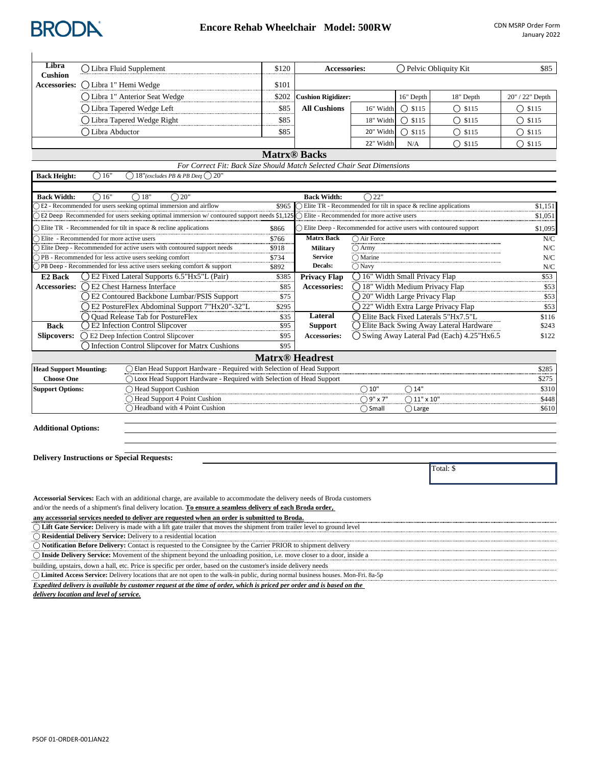## **RRC**

| Libra<br><b>Cushion</b> | Libra Fluid Supplement       |      | $\bigcap$ Pelvic Obliquity Kit<br><b>Accessories:</b> |                             |                 |                  | \$85              |
|-------------------------|------------------------------|------|-------------------------------------------------------|-----------------------------|-----------------|------------------|-------------------|
| <b>Accessories:</b>     | ◯ Libra 1" Hemi Wedge        |      |                                                       |                             |                 |                  |                   |
|                         | Libra 1" Anterior Seat Wedge |      | \$202 Cushion Rigidizer:                              |                             | 16" Depth       | 18" Depth        | $20''/22''$ Depth |
|                         | Libra Tapered Wedge Left     | \$85 | <b>All Cushions</b>                                   | $16"$ Width $\bigcap$ \$115 |                 | $\bigcirc$ \$115 | $\bigcirc$ \$115  |
|                         | ◯ Libra Tapered Wedge Right  | \$85 |                                                       | 18" Width $\bigcap$ \$115   |                 | $\bigcap$ \$115  | $\bigcirc$ \$115  |
|                         | Libra Abductor               | \$85 |                                                       | 20" Width                   | $\bigcap$ \$115 | $\bigcirc$ \$115 | $\bigcirc$ \$115  |
|                         |                              |      |                                                       | 22" Width                   | N/A             | $\bigcap$ \$115  | $\bigcirc$ \$115  |

**Back Height:**  $\bigcirc$  16"  $\bigcirc$  18"*(excludes PB & PB Deep* $\bigcirc$  20" **Back Width: ⃝** 16" **⃝** 18" **⃝** 20" **Back Width: ⃝** 22" O E2 - Recommended for users seeking optimal immersion and airflow \$965 ◯ Elite TR - Recommended for tilt in space & recline applications \$1,151<br>CE2 Deep Recommended for users seeking optimal immersion w/ contoured suppor  $\bigtriangledown$  E2 Deep Recommended for users seeking optimal immersion w/ contoured support needs \$1,125  $\bigcirc$  Elite - Recommended for more active users \$1,051 \$1,051 ⃝ Elite TR - Recommended for tilt in space & recline applications \$866 ⃝ Elite Deep - Recommended for active users with contoured support \$1,095 ⃝ Elite - Recommended for more active users \$766 **Matrx Back** ⃝ Air Force N/C Onlie Deep - Recommended for active users with contoured support needs 5918 **Military** ∴ Army Military ∴ Army N/C OF B - Recommended for less active users seeking comfort **5734** Service 
STOS Service 
STOS PERITY COMMENT COMMENT SERVICE 
STOP BOER SERVICE 
STOP BOER SERVICE 
STOP BOER SERVICE 
STOP BOER SERVICE 

STOP SERVICE 

STOP ⃝ PB Deep - Recommended for less active users seeking comfort & support \$892 **Decals:** ⃝ Navy N/C O E2 Fixed Lateral Supports 6.5"Hx5"L (Pair) \$385 **Privacy Flap** O 16" Width Small Privacy Flap \$53 S85 Accessories: <u>O 18" Width Medium Privacy Flap \$53</u><br>
<u>S75</u> C 20" Width Large Privacy Flap \$53 Q E2 Contoured Backbone Lumbar/PSIS Support \$75 375 375 320" Width Large Privacy Flap Q E2 PostureFlex Abdominal Support 7"Hx20"-32"L  $$295$   $\bigcirc$  22" Width Extra Large Privacy Flap \$53 Quad Release Tab for PostureFlex  $\frac{335}{335}$  **Lateral**  $\frac{635}{\sqrt{2}}$  Elite Back Fixed Laterals 5"Hx7.5"L \$116 ⃝ E2 Infection Control Slipcover \$95 ⃝ Elite Back Swing Away Lateral Hardware \$243 **E25 Accessories:**  $\overline{O}$  Swing Away Lateral Pad (Each) 4.25"Hx6.5 \$122 ⃝ Infection Control Slipcover for Matrx Cushions \$95 **Head Support Mounting:**  $\bigcirc$  Elan Head Support Hardware - Required with Selection of Head Support **\$285** S285 **Choose One**  $\bigcirc$  Loxx Head Support Hardware - Required with Selection of Head Support \$275 **Support Options:** ⃝ Head Support Cushion ⃝ 10" ⃝ 14" \$310  $\bigcirc$  Head Support 4 Point Cushion  $\bigcirc$  9" x 7"  $\bigcirc$  11" x 10" \$448  $\bigcirc$  Headband with 4 Point Cushion  $\bigcirc$  Small  $\bigcirc$  Large  $\qquad$  \$610 **Additional Options: Lateral Back C** E2 Infection Control Slipcover<br> **ipcovers:** C E2 Deep Infection Control Slipcover **Slipcovers: Matrx® Headrest Matrx® Backs** *For Correct Fit: Back Size Should Match Selected Chair Seat Dimensions* **E2 Back**  Accessories: **QE2** Chest Harness Interface **Privacy Flap Accessories:**

**Delivery Instructions or Special Requests:**

Total: \$

**Accessorial Services:** Each with an additional charge, are available to accommodate the delivery needs of Broda customers and/or the needs of a shipment's final delivery location. **To ensure a seamless delivery of each Broda order,** 

| any accessorial services needed to deliver are requested when an order is submitted to Broda.                                       |
|-------------------------------------------------------------------------------------------------------------------------------------|
| ◯ Lift Gate Service: Delivery is made with a lift gate trailer that moves the shipment from trailer level to ground level           |
| $\bigcap$ Residential Delivery Service: Delivery to a residential location                                                          |
| $\bigcap$ <b>Notification Before Delivery:</b> Contact is requested to the Consignee by the Carrier PRIOR to shipment delivery      |
| $\bigcap$ Inside Delivery Service: Movement of the shipment beyond the unloading position, i.e. move closer to a door, inside a     |
| building, upstairs, down a hall, etc. Price is specific per order, based on the customer's inside delivery needs                    |
| ◯ Limited Access Service: Delivery locations that are not open to the walk-in public, during normal business houses. Mon-Fri. 8a-5p |
| Expedited delivery is available by customer request at the time of order, which is priced per order and is based on the             |

*delivery location and level of service.*